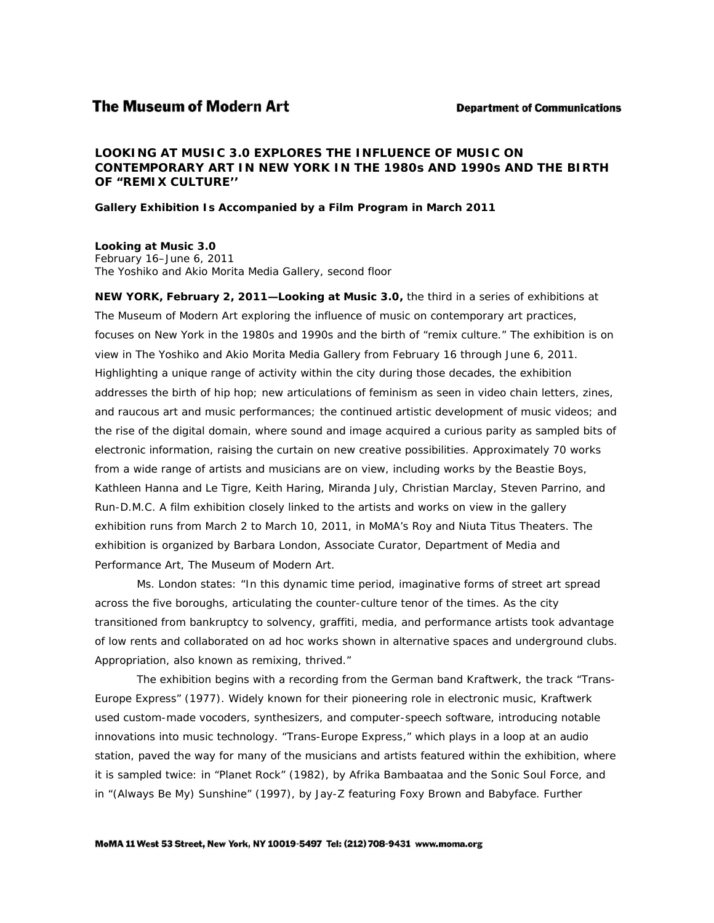# **The Museum of Modern Art**

*LOOKING AT MUSIC 3.0* **EXPLORES THE INFLUENCE OF MUSIC ON CONTEMPORARY ART IN NEW YORK IN THE 1980s AND 1990s AND THE BIRTH OF "REMIX CULTURE''**

**Gallery Exhibition Is Accompanied by a Film Program in March 2011**

*Looking at Music 3.0* February 16–June 6, 2011 The Yoshiko and Akio Morita Media Gallery, second floor

**NEW YORK, February 2, 2011—***Looking at Music 3.0***,** the third in a series of exhibitions at The Museum of Modern Art exploring the influence of music on contemporary art practices, focuses on New York in the 1980s and 1990s and the birth of "remix culture." The exhibition is on view in The Yoshiko and Akio Morita Media Gallery from February 16 through June 6, 2011. Highlighting a unique range of activity within the city during those decades, the exhibition addresses the birth of hip hop; new articulations of feminism as seen in video chain letters, zines, and raucous art and music performances; the continued artistic development of music videos; and the rise of the digital domain, where sound and image acquired a curious parity as sampled bits of electronic information, raising the curtain on new creative possibilities. Approximately 70 works from a wide range of artists and musicians are on view, including works by the Beastie Boys, Kathleen Hanna and Le Tigre, Keith Haring, Miranda July, Christian Marclay, Steven Parrino, and Run-D.M.C. A film exhibition closely linked to the artists and works on view in the gallery exhibition runs from March 2 to March 10, 2011, in MoMA's Roy and Niuta Titus Theaters. The exhibition is organized by Barbara London, Associate Curator, Department of Media and Performance Art, The Museum of Modern Art.

Ms. London states: "In this dynamic time period, imaginative forms of street art spread across the five boroughs, articulating the counter-culture tenor of the times. As the city transitioned from bankruptcy to solvency, graffiti, media, and performance artists took advantage of low rents and collaborated on ad hoc works shown in alternative spaces and underground clubs. Appropriation, also known as remixing, thrived."

The exhibition begins with a recording from the German band Kraftwerk, the track "Trans-Europe Express" (1977). Widely known for their pioneering role in electronic music, Kraftwerk used custom-made vocoders, synthesizers, and computer-speech software, introducing notable innovations into music technology. "Trans-Europe Express," which plays in a loop at an audio station, paved the way for many of the musicians and artists featured within the exhibition, where it is sampled twice: in "Planet Rock" (1982), by Afrika Bambaataa and the Sonic Soul Force, and in "(Always Be My) Sunshine" (1997), by Jay-Z featuring Foxy Brown and Babyface. Further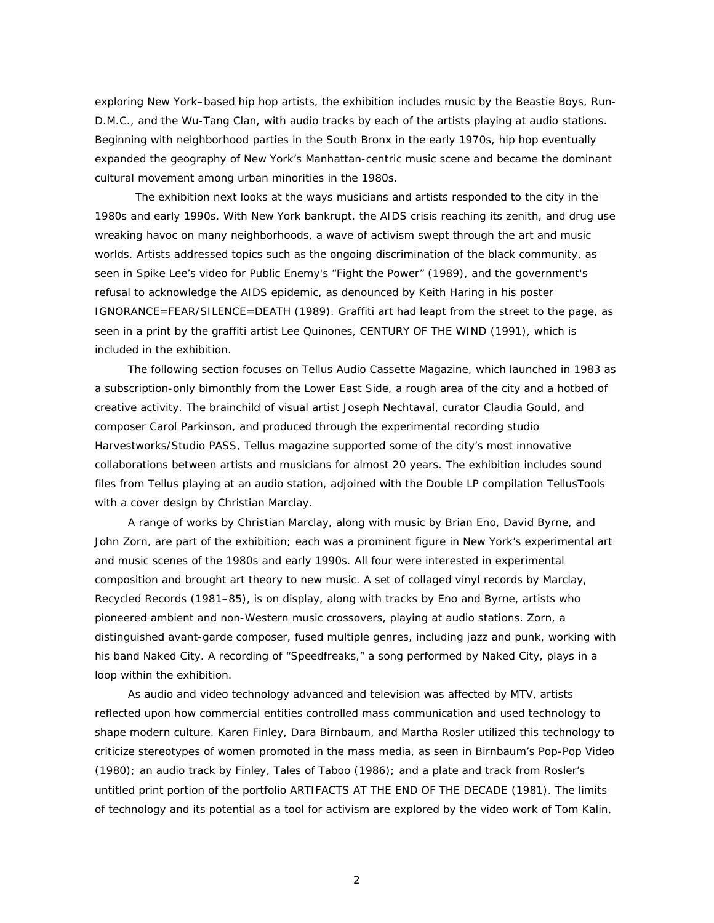exploring New York–based hip hop artists, the exhibition includes music by the Beastie Boys, Run-D.M.C., and the Wu-Tang Clan, with audio tracks by each of the artists playing at audio stations. Beginning with neighborhood parties in the South Bronx in the early 1970s, hip hop eventually expanded the geography of New York's Manhattan-centric music scene and became the dominant cultural movement among urban minorities in the 1980s.

The exhibition next looks at the ways musicians and artists responded to the city in the 1980s and early 1990s. With New York bankrupt, the AIDS crisis reaching its zenith, and drug use wreaking havoc on many neighborhoods, a wave of activism swept through the art and music worlds. Artists addressed topics such as the ongoing discrimination of the black community, as seen in Spike Lee's video for Public Enemy's "Fight the Power" (1989), and the government's refusal to acknowledge the AIDS epidemic, as denounced by Keith Haring in his poster *IGNORANCE=FEAR/SILENCE=DEATH* (1989). Graffiti art had leapt from the street to the page, as seen in a print by the graffiti artist Lee Quinones, *CENTURY OF THE WIND* (1991), which is included in the exhibition.

The following section focuses on *Tellus Audio Cassette Magazine*, which launched in 1983 as a subscription-only bimonthly from the Lower East Side, a rough area of the city and a hotbed of creative activity. The brainchild of visual artist Joseph Nechtaval, curator Claudia Gould, and composer Carol Parkinson, and produced through the experimental recording studio Harvestworks/Studio PASS, *Tellus* magazine supported some of the city's most innovative collaborations between artists and musicians for almost 20 years. The exhibition includes sound files from *Tellus* playing at an audio station, adjoined with the Double LP compilation *TellusTools*  with a cover design by Christian Marclay.

A range of works by Christian Marclay, along with music by Brian Eno, David Byrne, and John Zorn, are part of the exhibition; each was a prominent figure in New York's experimental art and music scenes of the 1980s and early 1990s. All four were interested in experimental composition and brought art theory to new music. A set of collaged vinyl records by Marclay, *Recycled Records* (1981–85), is on display, along with tracks by Eno and Byrne, artists who pioneered ambient and non-Western music crossovers, playing at audio stations. Zorn, a distinguished avant-garde composer, fused multiple genres, including jazz and punk, working with his band Naked City. A recording of "Speedfreaks," a song performed by Naked City, plays in a loop within the exhibition.

As audio and video technology advanced and television was affected by MTV, artists reflected upon how commercial entities controlled mass communication and used technology to shape modern culture. Karen Finley, Dara Birnbaum, and Martha Rosler utilized this technology to criticize stereotypes of women promoted in the mass media, as seen in Birnbaum's *Pop-Pop Video*  (1980); an audio track by Finley, *Tales of Taboo* (1986); and a plate and track from Rosler's untitled print portion of the portfolio *ARTIFACTS AT THE END OF THE DECADE* (1981). The limits of technology and its potential as a tool for activism are explored by the video work of Tom Kalin,

2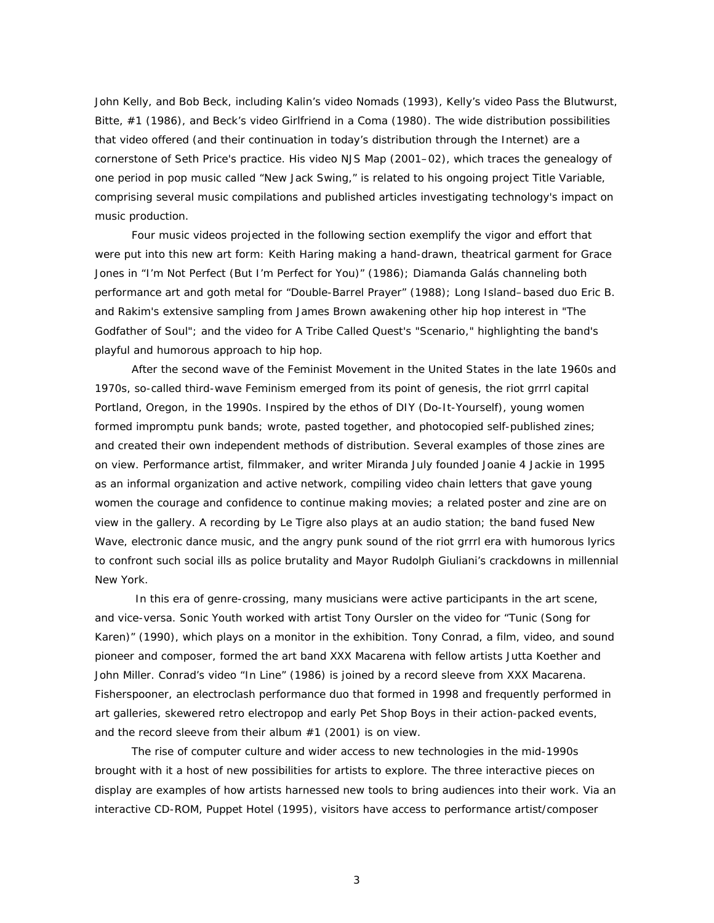John Kelly, and Bob Beck, including Kalin's video *Nomads* (1993), Kelly's video *Pass the Blutwurst, Bitte, #1* (1986), and Beck's video *Girlfriend in a Coma* (1980). The wide distribution possibilities that video offered (and their continuation in today's distribution through the Internet) are a cornerstone of Seth Price's practice. His video *NJS Map* (2001–02), which traces the genealogy of one period in pop music called "New Jack Swing," is related to his ongoing project *Title Variable,* comprising several music compilations and published articles investigating technology's impact on music production.

Four music videos projected in the following section exemplify the vigor and effort that were put into this new art form: Keith Haring making a hand-drawn, theatrical garment for Grace Jones in "I'm Not Perfect (But I'm Perfect for You)" (1986); Diamanda Galás channeling both performance art and goth metal for "Double-Barrel Prayer" (1988); Long Island–based duo Eric B. and Rakim's extensive sampling from James Brown awakening other hip hop interest in "The Godfather of Soul"; and the video for A Tribe Called Quest's "Scenario," highlighting the band's playful and humorous approach to hip hop.

After the second wave of the Feminist Movement in the United States in the late 1960s and 1970s, so-called third-wave Feminism emerged from its point of genesis, the riot grrrl capital Portland, Oregon, in the 1990s. Inspired by the ethos of DIY (Do-It-Yourself), young women formed impromptu punk bands; wrote, pasted together, and photocopied self-published zines; and created their own independent methods of distribution. Several examples of those zines are on view. Performance artist, filmmaker, and writer Miranda July founded Joanie 4 Jackie in 1995 as an informal organization and active network, compiling video chain letters that gave young women the courage and confidence to continue making movies; a related poster and zine are on view in the gallery. A recording by Le Tigre also plays at an audio station; the band fused New Wave, electronic dance music, and the angry punk sound of the riot grrrl era with humorous lyrics to confront such social ills as police brutality and Mayor Rudolph Giuliani's crackdowns in millennial New York.

In this era of genre-crossing, many musicians were active participants in the art scene, and vice-versa. Sonic Youth worked with artist Tony Oursler on the video for "Tunic (Song for Karen)" (1990), which plays on a monitor in the exhibition. Tony Conrad, a film, video, and sound pioneer and composer, formed the art band XXX Macarena with fellow artists Jutta Koether and John Miller. Conrad's video "In Line" (1986) is joined by a record sleeve from XXX Macarena. Fisherspooner, an electroclash performance duo that formed in 1998 and frequently performed in art galleries, skewered retro electropop and early Pet Shop Boys in their action-packed events, and the record sleeve from their album *#1* (2001) is on view.

The rise of computer culture and wider access to new technologies in the mid-1990s brought with it a host of new possibilities for artists to explore. The three interactive pieces on display are examples of how artists harnessed new tools to bring audiences into their work. Via an interactive CD-ROM, *Puppet Hotel* (1995), visitors have access to performance artist/composer

3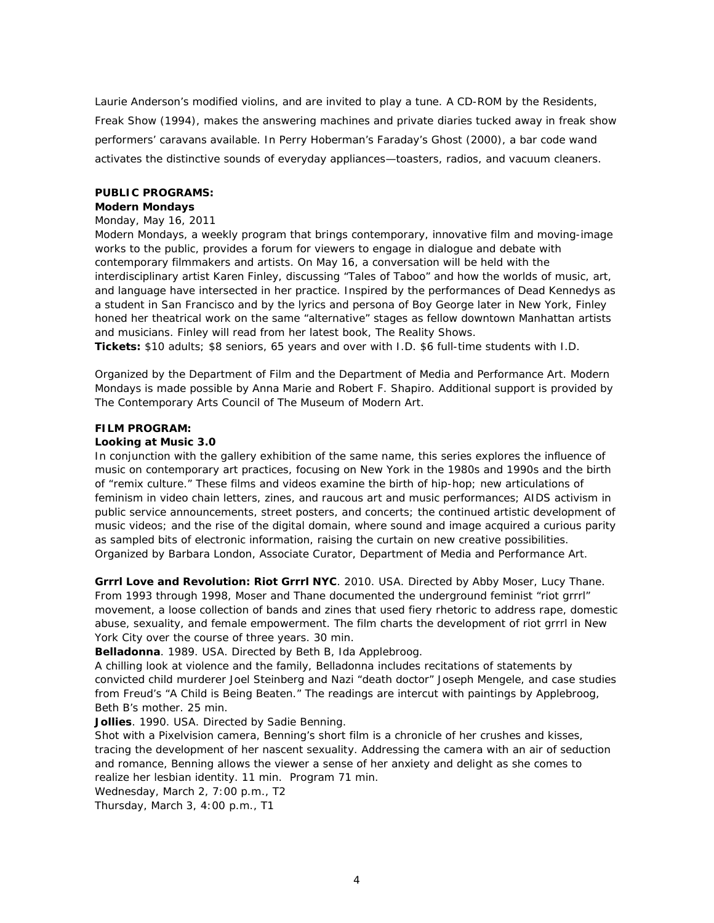Laurie Anderson's modified violins, and are invited to play a tune. A CD-ROM by the Residents, *Freak Show* (1994), makes the answering machines and private diaries tucked away in freak show performers' caravans available. In Perry Hoberman's *Faraday's Ghost* (2000), a bar code wand activates the distinctive sounds of everyday appliances—toasters, radios, and vacuum cleaners.

### **PUBLIC PROGRAMS:**

**Modern Mondays** 

# Monday, May 16, 2011

*Modern Mondays*, a weekly program that brings contemporary, innovative film and moving-image works to the public, provides a forum for viewers to engage in dialogue and debate with contemporary filmmakers and artists. On May 16, a conversation will be held with the interdisciplinary artist Karen Finley, discussing "Tales of Taboo" and how the worlds of music, art, and language have intersected in her practice. Inspired by the performances of Dead Kennedys as a student in San Francisco and by the lyrics and persona of Boy George later in New York, Finley honed her theatrical work on the same "alternative" stages as fellow downtown Manhattan artists and musicians. Finley will read from her latest book, *The Reality Shows*. **Tickets:** \$10 adults; \$8 seniors, 65 years and over with I.D. \$6 full-time students with I.D.

Organized by the Department of Film and the Department of Media and Performance Art. *Modern Mondays* is made possible by Anna Marie and Robert F. Shapiro. Additional support is provided by The Contemporary Arts Council of The Museum of Modern Art.

# **FILM PROGRAM:**

*Looking at Music 3.0*

In conjunction with the gallery exhibition of the same name, this series explores the influence of music on contemporary art practices, focusing on New York in the 1980s and 1990s and the birth of "remix culture." These films and videos examine the birth of hip-hop; new articulations of feminism in video chain letters, zines, and raucous art and music performances; AIDS activism in public service announcements, street posters, and concerts; the continued artistic development of music videos; and the rise of the digital domain, where sound and image acquired a curious parity as sampled bits of electronic information, raising the curtain on new creative possibilities. Organized by Barbara London, Associate Curator, Department of Media and Performance Art.

**Grrrl Love and Revolution: Riot Grrrl NYC**. 2010. USA. Directed by Abby Moser, Lucy Thane. From 1993 through 1998, Moser and Thane documented the underground feminist "riot grrrl" movement, a loose collection of bands and zines that used fiery rhetoric to address rape, domestic abuse, sexuality, and female empowerment. The film charts the development of riot grrrl in New York City over the course of three years. 30 min.

**Belladonna**. 1989. USA. Directed by Beth B, Ida Applebroog.

A chilling look at violence and the family, *Belladonna* includes recitations of statements by convicted child murderer Joel Steinberg and Nazi "death doctor" Joseph Mengele, and case studies from Freud's "A Child is Being Beaten." The readings are intercut with paintings by Applebroog, Beth B's mother. 25 min.

**Jollies**. 1990. USA. Directed by Sadie Benning.

Shot with a Pixelvision camera, Benning's short film is a chronicle of her crushes and kisses, tracing the development of her nascent sexuality. Addressing the camera with an air of seduction and romance, Benning allows the viewer a sense of her anxiety and delight as she comes to realize her lesbian identity. 11 min. Program 71 min.

Wednesday, March 2, 7:00 p.m., T2

Thursday, March 3, 4:00 p.m., T1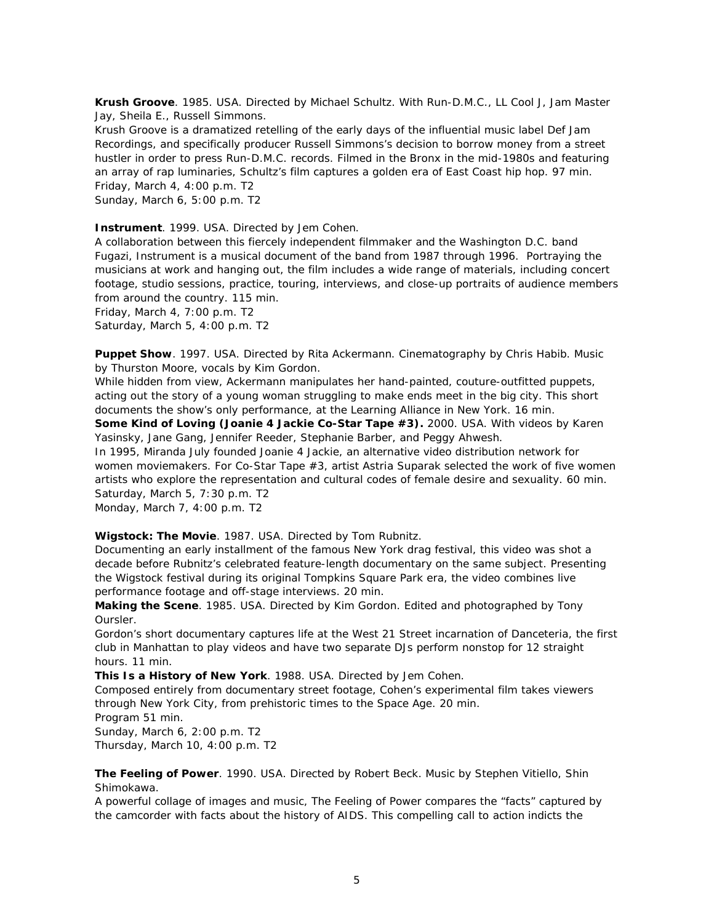**Krush Groove**. 1985. USA. Directed by Michael Schultz. With Run-D.M.C., LL Cool J, Jam Master Jay, Sheila E., Russell Simmons.

*Krush Groove* is a dramatized retelling of the early days of the influential music label Def Jam Recordings, and specifically producer Russell Simmons's decision to borrow money from a street hustler in order to press Run-D.M.C. records. Filmed in the Bronx in the mid-1980s and featuring an array of rap luminaries, Schultz's film captures a golden era of East Coast hip hop. 97 min. Friday, March 4, 4:00 p.m. T2

Sunday, March 6, 5:00 p.m. T2

**Instrument**. 1999. USA. Directed by Jem Cohen.

A collaboration between this fiercely independent filmmaker and the Washington D.C. band Fugazi, *Instrument* is a musical document of the band from 1987 through 1996. Portraying the musicians at work and hanging out, the film includes a wide range of materials, including concert footage, studio sessions, practice, touring, interviews, and close-up portraits of audience members from around the country. 115 min.

Friday, March 4, 7:00 p.m. T2 Saturday, March 5, 4:00 p.m. T2

**Puppet Show**. 1997. USA. Directed by Rita Ackermann. Cinematography by Chris Habib. Music by Thurston Moore, vocals by Kim Gordon.

While hidden from view, Ackermann manipulates her hand-painted, couture-outfitted puppets, acting out the story of a young woman struggling to make ends meet in the big city. This short documents the show's only performance, at the Learning Alliance in New York. 16 min. **Some Kind of Loving (Joanie 4 Jackie Co-Star Tape #3).** 2000. USA. With videos by Karen Yasinsky, Jane Gang, Jennifer Reeder, Stephanie Barber, and Peggy Ahwesh.

In 1995, Miranda July founded Joanie 4 Jackie, an alternative video distribution network for women moviemakers. For *Co-Star Tape #3*, artist Astria Suparak selected the work of five women artists who explore the representation and cultural codes of female desire and sexuality. 60 min. Saturday, March 5, 7:30 p.m. T2

Monday, March 7, 4:00 p.m. T2

**Wigstock: The Movie**. 1987. USA. Directed by Tom Rubnitz.

Documenting an early installment of the famous New York drag festival, this video was shot a decade before Rubnitz's celebrated feature-length documentary on the same subject. Presenting the Wigstock festival during its original Tompkins Square Park era, the video combines live performance footage and off-stage interviews. 20 min.

**Making the Scene**. 1985. USA. Directed by Kim Gordon. Edited and photographed by Tony Oursler.

Gordon's short documentary captures life at the West 21 Street incarnation of Danceteria, the first club in Manhattan to play videos and have two separate DJs perform nonstop for 12 straight hours. 11 min.

**This Is a History of New York**. 1988. USA. Directed by Jem Cohen.

Composed entirely from documentary street footage, Cohen's experimental film takes viewers through New York City, from prehistoric times to the Space Age. 20 min.

Program 51 min.

Sunday, March 6, 2:00 p.m. T2 Thursday, March 10, 4:00 p.m. T2

**The Feeling of Power**. 1990. USA. Directed by Robert Beck. Music by Stephen Vitiello, Shin Shimokawa.

A powerful collage of images and music, *The Feeling of Power* compares the "facts" captured by the camcorder with facts about the history of AIDS. This compelling call to action indicts the